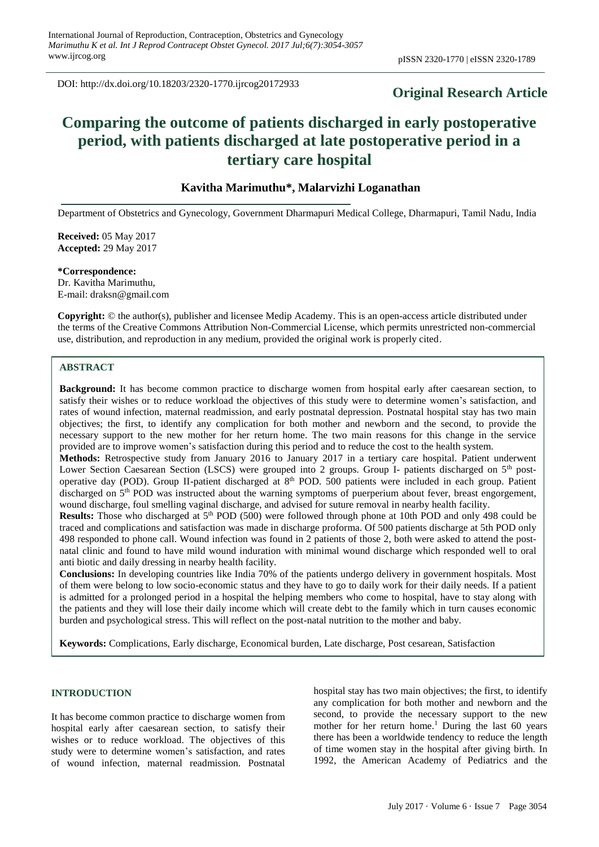DOI: http://dx.doi.org/10.18203/2320-1770.ijrcog20172933

# **Original Research Article**

# **Comparing the outcome of patients discharged in early postoperative period, with patients discharged at late postoperative period in a tertiary care hospital**

# **Kavitha Marimuthu\*, Malarvizhi Loganathan**

Department of Obstetrics and Gynecology, Government Dharmapuri Medical College, Dharmapuri, Tamil Nadu, India

**Received:** 05 May 2017 **Accepted:** 29 May 2017

**\*Correspondence:** Dr. Kavitha Marimuthu, E-mail: draksn@gmail.com

**Copyright:** © the author(s), publisher and licensee Medip Academy. This is an open-access article distributed under the terms of the Creative Commons Attribution Non-Commercial License, which permits unrestricted non-commercial use, distribution, and reproduction in any medium, provided the original work is properly cited.

#### **ABSTRACT**

**Background:** It has become common practice to discharge women from hospital early after caesarean section, to satisfy their wishes or to reduce workload the objectives of this study were to determine women's satisfaction, and rates of wound infection, maternal readmission, and early postnatal depression. Postnatal hospital stay has two main objectives; the first, to identify any complication for both mother and newborn and the second, to provide the necessary support to the new mother for her return home. The two main reasons for this change in the service provided are to improve women's satisfaction during this period and to reduce the cost to the health system.

**Methods:** Retrospective study from January 2016 to January 2017 in a tertiary care hospital. Patient underwent Lower Section Caesarean Section (LSCS) were grouped into 2 groups. Group I- patients discharged on 5<sup>th</sup> postoperative day (POD). Group II-patient discharged at 8<sup>th</sup> POD. 500 patients were included in each group. Patient discharged on 5<sup>th</sup> POD was instructed about the warning symptoms of puerperium about fever, breast engorgement, wound discharge, foul smelling vaginal discharge, and advised for suture removal in nearby health facility.

**Results:** Those who discharged at 5<sup>th</sup> POD (500) were followed through phone at 10th POD and only 498 could be traced and complications and satisfaction was made in discharge proforma. Of 500 patients discharge at 5th POD only 498 responded to phone call. Wound infection was found in 2 patients of those 2, both were asked to attend the postnatal clinic and found to have mild wound induration with minimal wound discharge which responded well to oral anti biotic and daily dressing in nearby health facility.

**Conclusions:** In developing countries like India 70% of the patients undergo delivery in government hospitals. Most of them were belong to low socio-economic status and they have to go to daily work for their daily needs. If a patient is admitted for a prolonged period in a hospital the helping members who come to hospital, have to stay along with the patients and they will lose their daily income which will create debt to the family which in turn causes economic burden and psychological stress. This will reflect on the post-natal nutrition to the mother and baby.

**Keywords:** Complications, Early discharge, Economical burden, Late discharge, Post cesarean, Satisfaction

#### **INTRODUCTION**

It has become common practice to discharge women from hospital early after caesarean section, to satisfy their wishes or to reduce workload. The objectives of this study were to determine women's satisfaction, and rates of wound infection, maternal readmission. Postnatal hospital stay has two main objectives; the first, to identify any complication for both mother and newborn and the second, to provide the necessary support to the new mother for her return home. <sup>1</sup> During the last 60 years there has been a worldwide tendency to reduce the length of time women stay in the hospital after giving birth. In 1992, the American Academy of Pediatrics and the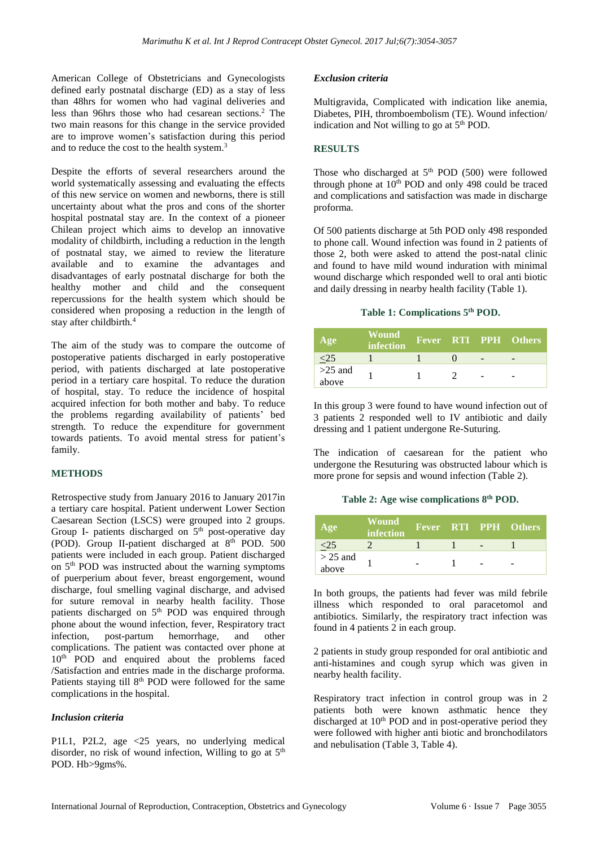American College of Obstetricians and Gynecologists defined early postnatal discharge (ED) as a stay of less than 48hrs for women who had vaginal deliveries and less than 96hrs those who had cesarean sections. <sup>2</sup> The two main reasons for this change in the service provided are to improve women's satisfaction during this period and to reduce the cost to the health system. 3

Despite the efforts of several researchers around the world systematically assessing and evaluating the effects of this new service on women and newborns, there is still uncertainty about what the pros and cons of the shorter hospital postnatal stay are. In the context of a pioneer Chilean project which aims to develop an innovative modality of childbirth, including a reduction in the length of postnatal stay, we aimed to review the literature available and to examine the advantages and disadvantages of early postnatal discharge for both the healthy mother and child and the consequent repercussions for the health system which should be considered when proposing a reduction in the length of stay after childbirth.<sup>4</sup>

The aim of the study was to compare the outcome of postoperative patients discharged in early postoperative period, with patients discharged at late postoperative period in a tertiary care hospital. To reduce the duration of hospital, stay. To reduce the incidence of hospital acquired infection for both mother and baby. To reduce the problems regarding availability of patients' bed strength. To reduce the expenditure for government towards patients. To avoid mental stress for patient's family.

## **METHODS**

Retrospective study from January 2016 to January 2017in a tertiary care hospital. Patient underwent Lower Section Caesarean Section (LSCS) were grouped into 2 groups. Group I- patients discharged on 5<sup>th</sup> post-operative day (POD). Group II-patient discharged at 8<sup>th</sup> POD. 500 patients were included in each group. Patient discharged on 5<sup>th</sup> POD was instructed about the warning symptoms of puerperium about fever, breast engorgement, wound discharge, foul smelling vaginal discharge, and advised for suture removal in nearby health facility. Those patients discharged on 5<sup>th</sup> POD was enquired through phone about the wound infection, fever, Respiratory tract infection, post-partum hemorrhage, and other complications. The patient was contacted over phone at 10<sup>th</sup> POD and enquired about the problems faced /Satisfaction and entries made in the discharge proforma. Patients staying till 8<sup>th</sup> POD were followed for the same complications in the hospital.

## *Inclusion criteria*

P1L1, P2L2, age <25 years, no underlying medical disorder, no risk of wound infection, Willing to go at  $5<sup>th</sup>$ POD. Hb>9gms%.

## *Exclusion criteria*

Multigravida, Complicated with indication like anemia, Diabetes, PIH, thromboembolism (TE). Wound infection/ indication and Not willing to go at 5<sup>th</sup> POD.

## **RESULTS**

Those who discharged at  $5<sup>th</sup>$  POD (500) were followed through phone at  $10<sup>th</sup>$  POD and only 498 could be traced and complications and satisfaction was made in discharge proforma.

Of 500 patients discharge at 5th POD only 498 responded to phone call. Wound infection was found in 2 patients of those 2, both were asked to attend the post-natal clinic and found to have mild wound induration with minimal wound discharge which responded well to oral anti biotic and daily dressing in nearby health facility (Table 1).

## **Table 1: Complications 5 th POD.**

| Age                | Wound<br><i>infection</i> |  | <b>Fever RTI PPH Others</b> |
|--------------------|---------------------------|--|-----------------------------|
| 25                 |                           |  |                             |
| $>25$ and<br>above |                           |  |                             |

In this group 3 were found to have wound infection out of 3 patients 2 responded well to IV antibiotic and daily dressing and 1 patient undergone Re-Suturing.

The indication of caesarean for the patient who undergone the Resuturing was obstructed labour which is more prone for sepsis and wound infection (Table 2).

## **Table 2: Age wise complications 8 th POD.**

| Age              | Wound'<br>infection |  | <b>Fever RTI PPH Others</b> |
|------------------|---------------------|--|-----------------------------|
| $\leq$ .         |                     |  |                             |
| $>$ 25 and above |                     |  |                             |

In both groups, the patients had fever was mild febrile illness which responded to oral paracetomol and antibiotics. Similarly, the respiratory tract infection was found in 4 patients 2 in each group.

2 patients in study group responded for oral antibiotic and anti-histamines and cough syrup which was given in nearby health facility.

Respiratory tract infection in control group was in 2 patients both were known asthmatic hence they discharged at  $10<sup>th</sup>$  POD and in post-operative period they were followed with higher anti biotic and bronchodilators and nebulisation (Table 3, Table 4).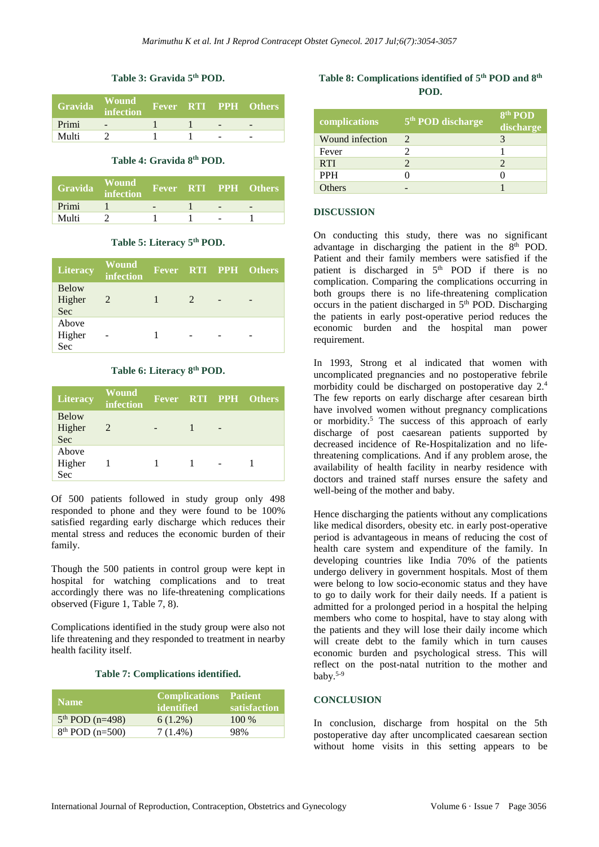## **Table 3: Gravida 5 th POD.**

| Gravida | <b>Wound</b><br>infection |  | <b>Fever RTI PPH Others</b> |
|---------|---------------------------|--|-----------------------------|
| Primi   | -                         |  |                             |
| Multi   |                           |  |                             |

#### **Table 4: Gravida 8 th POD.**

| Gravida | <b>Wound</b><br>infection |  | Fever RTI PPH Others |
|---------|---------------------------|--|----------------------|
| Primi   |                           |  |                      |
| Multi   |                           |  |                      |

## **Table 5: Literacy 5 th POD.**

| Literacy                      | <b>Wound</b><br>infection |  | Fever RTI PPH Others |
|-------------------------------|---------------------------|--|----------------------|
| <b>Below</b><br>Higher<br>Sec | 2                         |  |                      |
| Above<br>Higher<br>Sec        |                           |  |                      |

#### **Table 6: Literacy 8 th POD.**

| <b>Literacy</b>               | <b>Wound</b><br>infection |  |   | Fever RTI PPH Others |
|-------------------------------|---------------------------|--|---|----------------------|
| <b>Below</b><br>Higher<br>Sec | $\overline{2}$            |  | - |                      |
| Above<br>Higher<br>Sec        |                           |  |   |                      |

Of 500 patients followed in study group only 498 responded to phone and they were found to be 100% satisfied regarding early discharge which reduces their mental stress and reduces the economic burden of their family.

Though the 500 patients in control group were kept in hospital for watching complications and to treat accordingly there was no life-threatening complications observed (Figure 1, Table 7, 8).

Complications identified in the study group were also not life threatening and they responded to treatment in nearby health facility itself.

#### **Table 7: Complications identified.**

| <b>Name</b>       | <b>Complications</b><br>identified | <b>Patient</b><br>satisfaction |
|-------------------|------------------------------------|--------------------------------|
| $5th$ POD (n=498) | $6(1.2\%)$                         | $100\%$                        |
| $8th$ POD (n=500) | $7(1.4\%)$                         | 98%                            |

# **Table 8: Complications identified of 5 th POD and 8 th POD.**

| complications   | 5 <sup>th</sup> POD discharge | 8 <sup>th</sup> POD<br>discharge |
|-----------------|-------------------------------|----------------------------------|
| Wound infection | 2                             |                                  |
| Fever           |                               |                                  |
| <b>RTI</b>      |                               |                                  |
| <b>PPH</b>      |                               |                                  |
| <b>Others</b>   |                               |                                  |

#### **DISCUSSION**

On conducting this study, there was no significant advantage in discharging the patient in the 8<sup>th</sup> POD. Patient and their family members were satisfied if the patient is discharged in 5<sup>th</sup> POD if there is no complication. Comparing the complications occurring in both groups there is no life-threatening complication occurs in the patient discharged in 5<sup>th</sup> POD. Discharging the patients in early post-operative period reduces the economic burden and the hospital man power requirement.

In 1993, Strong et al indicated that women with uncomplicated pregnancies and no postoperative febrile morbidity could be discharged on postoperative day 2.<sup>4</sup> The few reports on early discharge after cesarean birth have involved women without pregnancy complications or morbidity. <sup>5</sup> The success of this approach of early discharge of post caesarean patients supported by decreased incidence of Re-Hospitalization and no lifethreatening complications. And if any problem arose, the availability of health facility in nearby residence with doctors and trained staff nurses ensure the safety and well-being of the mother and baby.

Hence discharging the patients without any complications like medical disorders, obesity etc. in early post-operative period is advantageous in means of reducing the cost of health care system and expenditure of the family. In developing countries like India 70% of the patients undergo delivery in government hospitals. Most of them were belong to low socio-economic status and they have to go to daily work for their daily needs. If a patient is admitted for a prolonged period in a hospital the helping members who come to hospital, have to stay along with the patients and they will lose their daily income which will create debt to the family which in turn causes economic burden and psychological stress. This will reflect on the post-natal nutrition to the mother and baby.5-9

## **CONCLUSION**

In conclusion, discharge from hospital on the 5th postoperative day after uncomplicated caesarean section without home visits in this setting appears to be